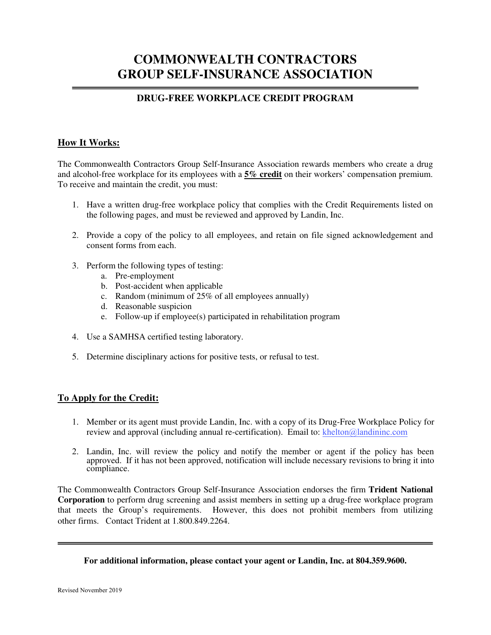# **COMMONWEALTH CONTRACTORS GROUP SELF-INSURANCE ASSOCIATION**

### **DRUG-FREE WORKPLACE CREDIT PROGRAM**

#### **How It Works:**

The Commonwealth Contractors Group Self-Insurance Association rewards members who create a drug and alcohol-free workplace for its employees with a **5% credit** on their workers' compensation premium. To receive and maintain the credit, you must:

- 1. Have a written drug-free workplace policy that complies with the Credit Requirements listed on the following pages, and must be reviewed and approved by Landin, Inc.
- 2. Provide a copy of the policy to all employees, and retain on file signed acknowledgement and consent forms from each.
- 3. Perform the following types of testing:
	- a. Pre-employment
	- b. Post-accident when applicable
	- c. Random (minimum of 25% of all employees annually)
	- d. Reasonable suspicion
	- e. Follow-up if employee(s) participated in rehabilitation program
- 4. Use a SAMHSA certified testing laboratory.
- 5. Determine disciplinary actions for positive tests, or refusal to test.

#### **To Apply for the Credit:**

- 1. Member or its agent must provide Landin, Inc. with a copy of its Drug-Free Workplace Policy for review and approval (including annual re-certification). Email to: [khelton@landininc.com](mailto:khelton@landininc.com)
- 2. Landin, Inc. will review the policy and notify the member or agent if the policy has been approved. If it has not been approved, notification will include necessary revisions to bring it into compliance.

The Commonwealth Contractors Group Self-Insurance Association endorses the firm **Trident National Corporation** to perform drug screening and assist members in setting up a drug-free workplace program that meets the Group's requirements. However, this does not prohibit members from utilizing other firms. Contact Trident at 1.800.849.2264.

#### **For additional information, please contact your agent or Landin, Inc. at 804.359.9600.**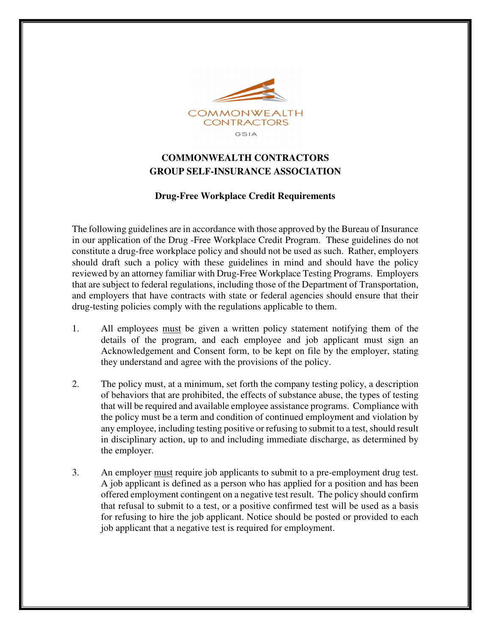

# **COMMONWEALTH CONTRACTORS GROUP SELF-INSURANCE ASSOCIATION**

## **Drug-Free Workplace Credit Requirements**

The following guidelines are in accordance with those approved by the Bureau of Insurance in our application of the Drug -Free Workplace Credit Program. These guidelines do not constitute a drug-free workplace policy and should not be used as such. Rather, employers should draft such a policy with these guidelines in mind and should have the policy reviewed by an attorney familiar with Drug-Free Workplace Testing Programs. Employers that are subject to federal regulations, including those of the Department of Transportation, and employers that have contracts with state or federal agencies should ensure that their drug-testing policies comply with the regulations applicable to them.

- 1. All employees must be given a written policy statement notifying them of the details of the program, and each employee and job applicant must sign an Acknowledgement and Consent form, to be kept on file by the employer, stating they understand and agree with the provisions of the policy.
- 2. The policy must, at a minimum, set forth the company testing policy, a description of behaviors that are prohibited, the effects of substance abuse, the types of testing that will be required and available employee assistance programs. Compliance with the policy must be a term and condition of continued employment and violation by any employee, including testing positive or refusing to submit to a test, should result in disciplinary action, up to and including immediate discharge, as determined by the employer.
- 3. An employer must require job applicants to submit to a pre-employment drug test. A job applicant is defined as a person who has applied for a position and has been offered employment contingent on a negative test result. The policy should confirm that refusal to submit to a test, or a positive confirmed test will be used as a basis for refusing to hire the job applicant. Notice should be posted or provided to each job applicant that a negative test is required for employment.